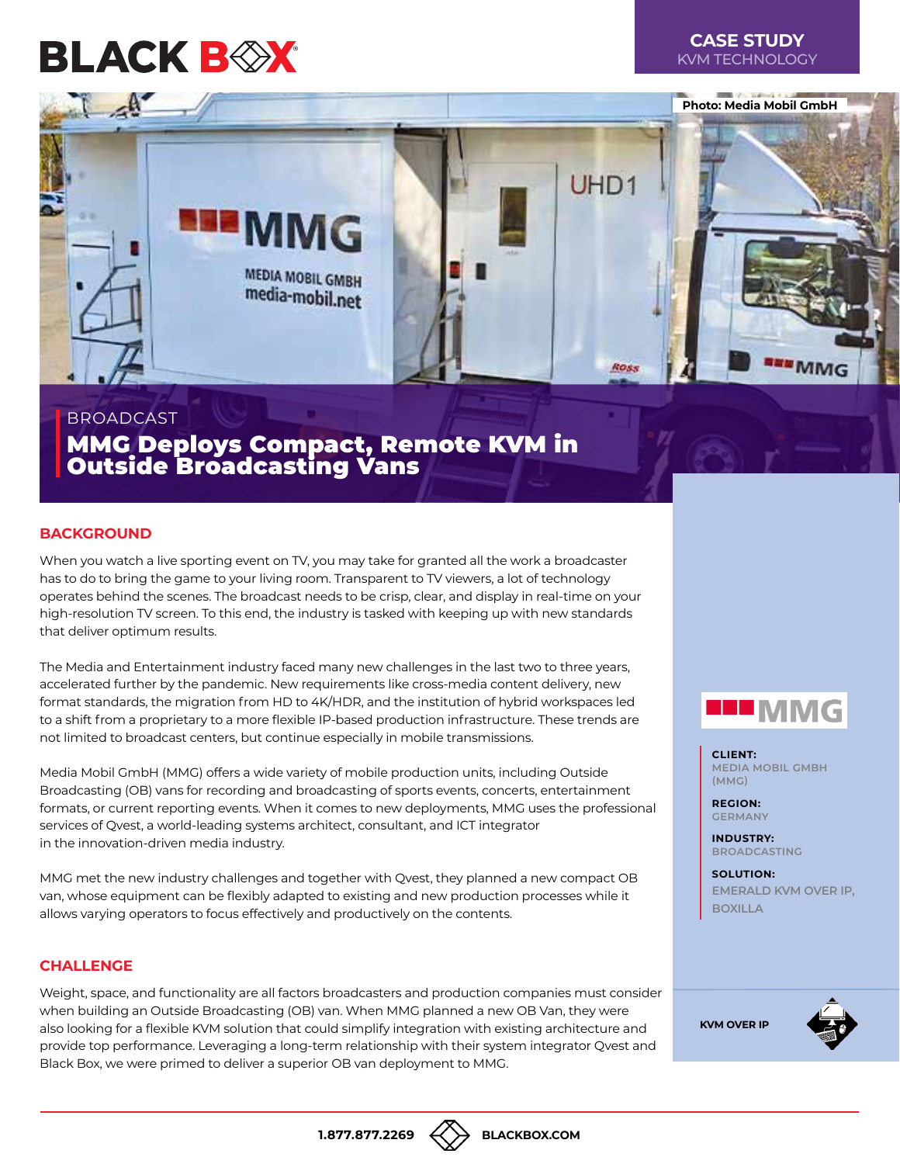# **BLACK BOX**



## BROADCAST

MMG Deploys Compact, Remote KVM in Outside Broadcasting Vans

## **BACKGROUND**

When you watch a live sporting event on TV, you may take for granted all the work a broadcaster has to do to bring the game to your living room. Transparent to TV viewers, a lot of technology operates behind the scenes. The broadcast needs to be crisp, clear, and display in real-time on your high-resolution TV screen. To this end, the industry is tasked with keeping up with new standards that deliver optimum results.

The Media and Entertainment industry faced many new challenges in the last two to three years, accelerated further by the pandemic. New requirements like cross-media content delivery, new format standards, the migration from HD to 4K/HDR, and the institution of hybrid workspaces led to a shift from a proprietary to a more flexible IP-based production infrastructure. These trends are not limited to broadcast centers, but continue especially in mobile transmissions.

Media Mobil GmbH (MMG) offers a wide variety of mobile production units, including Outside Broadcasting (OB) vans for recording and broadcasting of sports events, concerts, entertainment formats, or current reporting events. When it comes to new deployments, MMG uses the professional services of Qvest, a world-leading systems architect, consultant, and ICT integrator in the innovation-driven media industry.

MMG met the new industry challenges and together with Qvest, they planned a new compact OB van, whose equipment can be flexibly adapted to existing and new production processes while it allows varying operators to focus effectively and productively on the contents.

#### **CHALLENGE**

Weight, space, and functionality are all factors broadcasters and production companies must consider when building an Outside Broadcasting (OB) van. When MMG planned a new OB Van, they were also looking for a flexible KVM solution that could simplify integration with existing architecture and provide top performance. Leveraging a long-term relationship with their system integrator Qvest and Black Box, we were primed to deliver a superior OB van deployment to MMG.



**CLIENT: MEDIA MOBIL GMBH (MMG)**

**REGION: GERMANY**

**INDUSTRY: BROADCASTING**

**SOLUTION: EMERALD KVM OVER IP, BOXILLA**

**[KVM OVER IP](https://www.blackbox.com/en-us/black-box-brand-products/by-technology/kvm-switches-and-extenders/kvm-over-ip-switches/4k-and-hd-kvm-over-ip-matrix-switching-and-extension)**



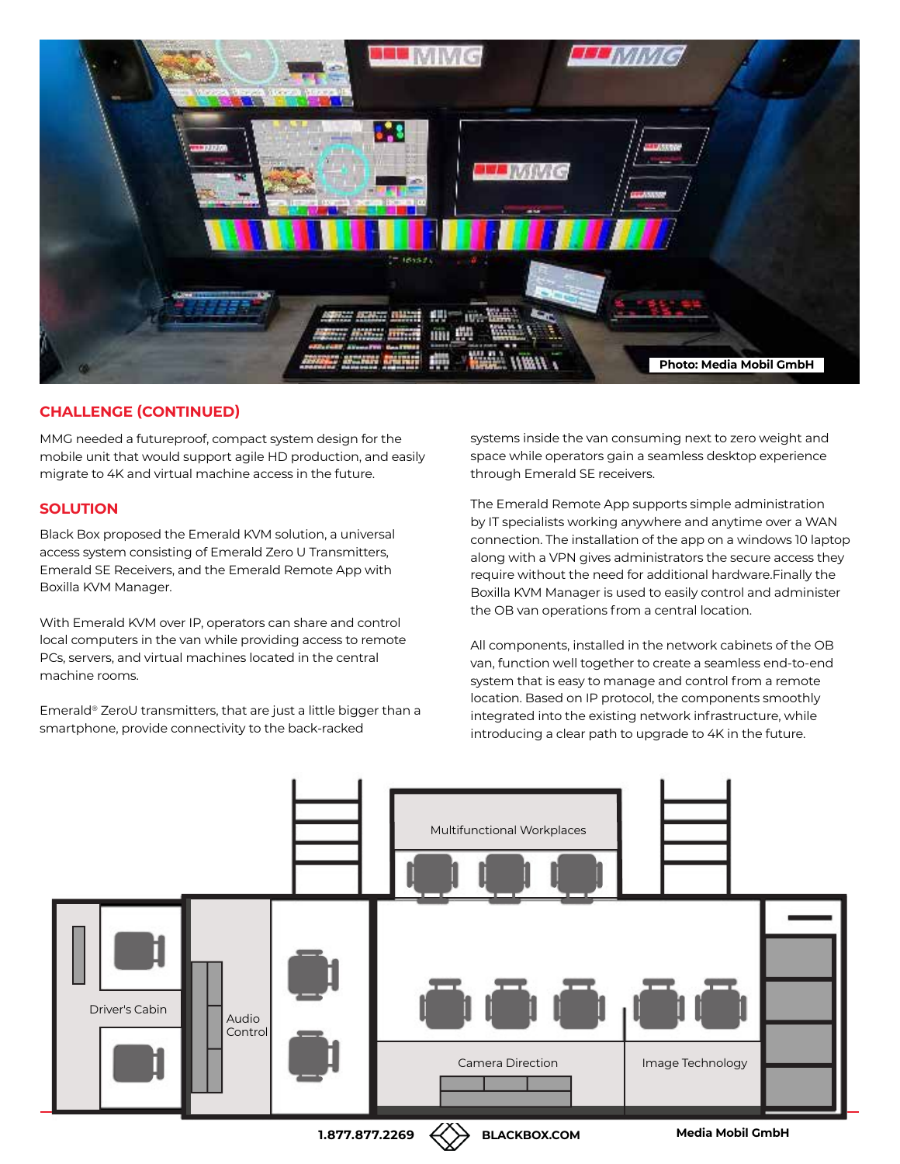

# **CHALLENGE (CONTINUED)**

MMG needed a futureproof, compact system design for the mobile unit that would support agile HD production, and easily migrate to 4K and virtual machine access in the future.

## **SOLUTION**

Black Box proposed the Emerald KVM solution, a universal access system consisting of Emerald Zero U Transmitters, Emerald SE Receivers, and the Emerald Remote App with Boxilla KVM Manager.

With Emerald KVM over IP, operators can share and control local computers in the van while providing access to remote PCs, servers, and virtual machines located in the central machine rooms.

Emerald® ZeroU transmitters, that are just a little bigger than a smartphone, provide connectivity to the back-racked

systems inside the van consuming next to zero weight and space while operators gain a seamless desktop experience through Emerald SE receivers.

The Emerald Remote App supports simple administration by IT specialists working anywhere and anytime over a WAN connection. The installation of the app on a windows 10 laptop along with a VPN gives administrators the secure access they require without the need for additional hardware.Finally the Boxilla KVM Manager is used to easily control and administer the OB van operations from a central location.

All components, installed in the network cabinets of the OB van, function well together to create a seamless end-to-end system that is easy to manage and control from a remote location. Based on IP protocol, the components smoothly integrated into the existing network infrastructure, while introducing a clear path to upgrade to 4K in the future.